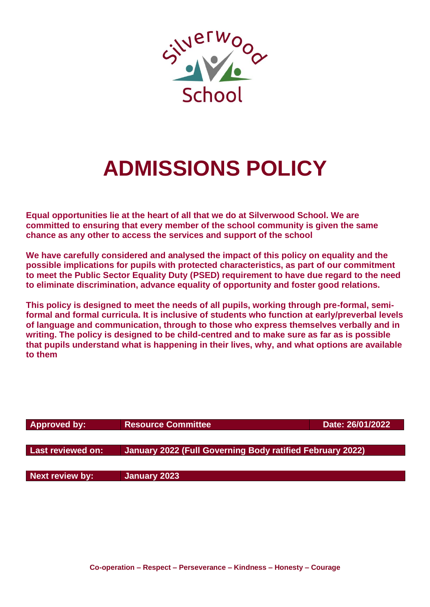

# **ADMISSIONS POLICY**

**Equal opportunities lie at the heart of all that we do at Silverwood School. We are committed to ensuring that every member of the school community is given the same chance as any other to access the services and support of the school**

**We have carefully considered and analysed the impact of this policy on equality and the possible implications for pupils with protected characteristics, as part of our commitment to meet the Public Sector Equality Duty (PSED) requirement to have due regard to the need to eliminate discrimination, advance equality of opportunity and foster good relations.**

**This policy is designed to meet the needs of all pupils, working through pre-formal, semiformal and formal curricula. It is inclusive of students who function at early/preverbal levels of language and communication, through to those who express themselves verbally and in writing. The policy is designed to be child-centred and to make sure as far as is possible that pupils understand what is happening in their lives, why, and what options are available to them**

| <b>Approved by:</b>    | <b>Resource Committee</b>                                 | Date: 26/01/2022 |
|------------------------|-----------------------------------------------------------|------------------|
|                        |                                                           |                  |
| Last reviewed on:      | January 2022 (Full Governing Body ratified February 2022) |                  |
|                        |                                                           |                  |
| <b>Next review by:</b> | January 2023                                              |                  |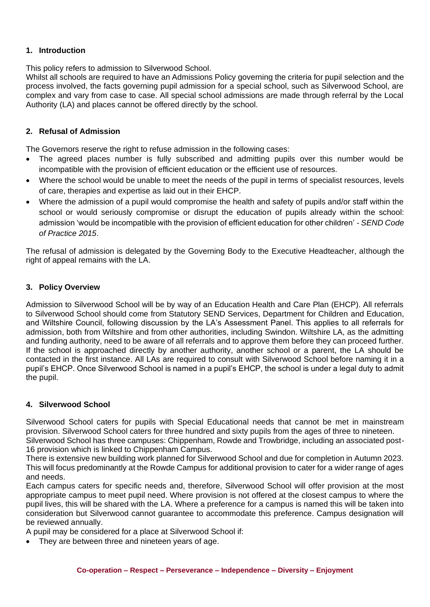## **1. Introduction**

This policy refers to admission to Silverwood School.

Whilst all schools are required to have an Admissions Policy governing the criteria for pupil selection and the process involved, the facts governing pupil admission for a special school, such as Silverwood School, are complex and vary from case to case. All special school admissions are made through referral by the Local Authority (LA) and places cannot be offered directly by the school.

## **2. Refusal of Admission**

The Governors reserve the right to refuse admission in the following cases:

- The agreed places number is fully subscribed and admitting pupils over this number would be incompatible with the provision of efficient education or the efficient use of resources.
- Where the school would be unable to meet the needs of the pupil in terms of specialist resources, levels of care, therapies and expertise as laid out in their EHCP.
- Where the admission of a pupil would compromise the health and safety of pupils and/or staff within the school or would seriously compromise or disrupt the education of pupils already within the school: admission 'would be incompatible with the provision of efficient education for other children' - *SEND Code of Practice 2015*.

The refusal of admission is delegated by the Governing Body to the Executive Headteacher, although the right of appeal remains with the LA.

## **3. Policy Overview**

Admission to Silverwood School will be by way of an Education Health and Care Plan (EHCP). All referrals to Silverwood School should come from Statutory SEND Services, Department for Children and Education, and Wiltshire Council, following discussion by the LA's Assessment Panel. This applies to all referrals for admission, both from Wiltshire and from other authorities, including Swindon. Wiltshire LA, as the admitting and funding authority, need to be aware of all referrals and to approve them before they can proceed further. If the school is approached directly by another authority, another school or a parent, the LA should be contacted in the first instance. All LAs are required to consult with Silverwood School before naming it in a pupil's EHCP. Once Silverwood School is named in a pupil's EHCP, the school is under a legal duty to admit the pupil.

#### **4. Silverwood School**

Silverwood School caters for pupils with Special Educational needs that cannot be met in mainstream provision. Silverwood School caters for three hundred and sixty pupils from the ages of three to nineteen.

Silverwood School has three campuses: Chippenham, Rowde and Trowbridge, including an associated post-16 provision which is linked to Chippenham Campus.

There is extensive new building work planned for Silverwood School and due for completion in Autumn 2023. This will focus predominantly at the Rowde Campus for additional provision to cater for a wider range of ages and needs.

Each campus caters for specific needs and, therefore, Silverwood School will offer provision at the most appropriate campus to meet pupil need. Where provision is not offered at the closest campus to where the pupil lives, this will be shared with the LA. Where a preference for a campus is named this will be taken into consideration but Silverwood cannot guarantee to accommodate this preference. Campus designation will be reviewed annually.

A pupil may be considered for a place at Silverwood School if:

• They are between three and nineteen years of age.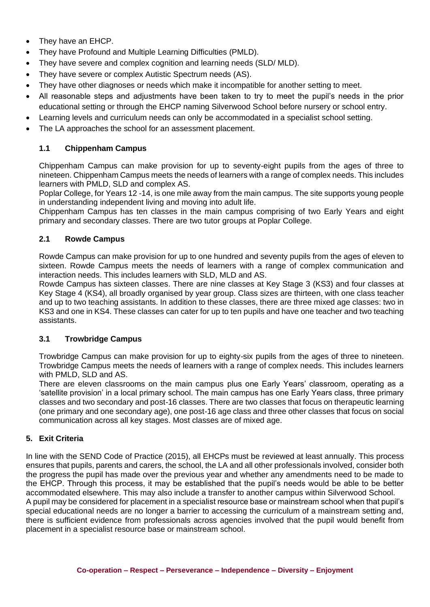- They have an EHCP.
- They have Profound and Multiple Learning Difficulties (PMLD).
- They have severe and complex cognition and learning needs (SLD/ MLD).
- They have severe or complex Autistic Spectrum needs (AS).
- They have other diagnoses or needs which make it incompatible for another setting to meet.
- All reasonable steps and adjustments have been taken to try to meet the pupil's needs in the prior educational setting or through the EHCP naming Silverwood School before nursery or school entry.
- Learning levels and curriculum needs can only be accommodated in a specialist school setting.
- The LA approaches the school for an assessment placement.

## **1.1 Chippenham Campus**

Chippenham Campus can make provision for up to seventy-eight pupils from the ages of three to nineteen. Chippenham Campus meets the needs of learners with a range of complex needs. This includes learners with PMLD, SLD and complex AS.

Poplar College, for Years 12 -14, is one mile away from the main campus. The site supports young people in understanding independent living and moving into adult life.

Chippenham Campus has ten classes in the main campus comprising of two Early Years and eight primary and secondary classes. There are two tutor groups at Poplar College.

## **2.1 Rowde Campus**

Rowde Campus can make provision for up to one hundred and seventy pupils from the ages of eleven to sixteen. Rowde Campus meets the needs of learners with a range of complex communication and interaction needs. This includes learners with SLD, MLD and AS.

Rowde Campus has sixteen classes. There are nine classes at Key Stage 3 (KS3) and four classes at Key Stage 4 (KS4), all broadly organised by year group. Class sizes are thirteen, with one class teacher and up to two teaching assistants. In addition to these classes, there are three mixed age classes: two in KS3 and one in KS4. These classes can cater for up to ten pupils and have one teacher and two teaching assistants.

#### **3.1 Trowbridge Campus**

Trowbridge Campus can make provision for up to eighty-six pupils from the ages of three to nineteen. Trowbridge Campus meets the needs of learners with a range of complex needs. This includes learners with PMLD, SLD and AS.

There are eleven classrooms on the main campus plus one Early Years' classroom, operating as a 'satellite provision' in a local primary school. The main campus has one Early Years class, three primary classes and two secondary and post-16 classes. There are two classes that focus on therapeutic learning (one primary and one secondary age), one post-16 age class and three other classes that focus on social communication across all key stages. Most classes are of mixed age.

#### **5. Exit Criteria**

In line with the SEND Code of Practice (2015), all EHCPs must be reviewed at least annually. This process ensures that pupils, parents and carers, the school, the LA and all other professionals involved, consider both the progress the pupil has made over the previous year and whether any amendments need to be made to the EHCP. Through this process, it may be established that the pupil's needs would be able to be better accommodated elsewhere. This may also include a transfer to another campus within Silverwood School. A pupil may be considered for placement in a specialist resource base or mainstream school when that pupil's special educational needs are no longer a barrier to accessing the curriculum of a mainstream setting and, there is sufficient evidence from professionals across agencies involved that the pupil would benefit from placement in a specialist resource base or mainstream school.